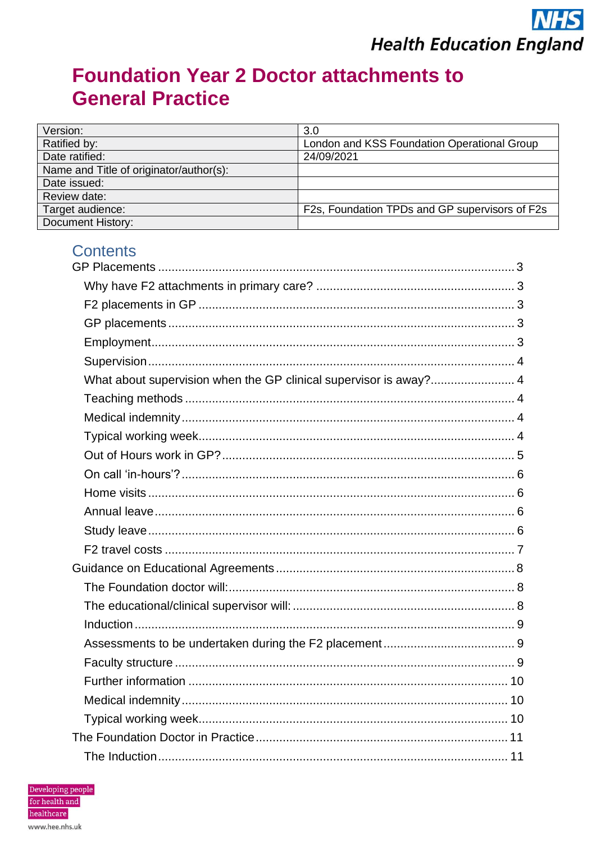## **Foundation Year 2 Doctor attachments to General Practice**

| Version:                                | 3.0                                            |
|-----------------------------------------|------------------------------------------------|
| Ratified by:                            | London and KSS Foundation Operational Group    |
| Date ratified:                          | 24/09/2021                                     |
| Name and Title of originator/author(s): |                                                |
| Date issued:                            |                                                |
| Review date:                            |                                                |
| Target audience:                        | F2s, Foundation TPDs and GP supervisors of F2s |
| <b>Document History:</b>                |                                                |

## **Contents**

| What about supervision when the GP clinical supervisor is away? 4 |
|-------------------------------------------------------------------|
|                                                                   |
|                                                                   |
|                                                                   |
|                                                                   |
|                                                                   |
|                                                                   |
|                                                                   |
|                                                                   |
|                                                                   |
|                                                                   |
|                                                                   |
|                                                                   |
|                                                                   |
|                                                                   |
|                                                                   |
|                                                                   |
|                                                                   |
|                                                                   |
|                                                                   |
|                                                                   |

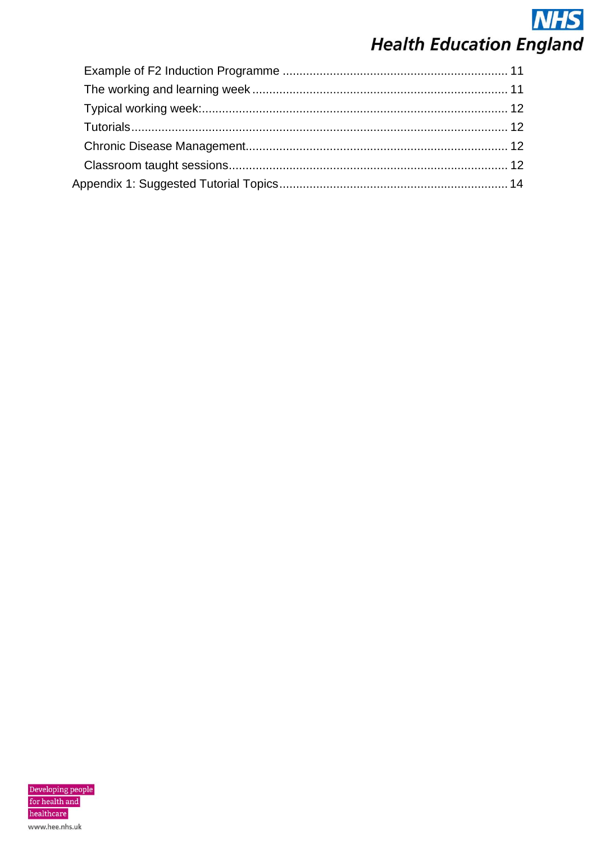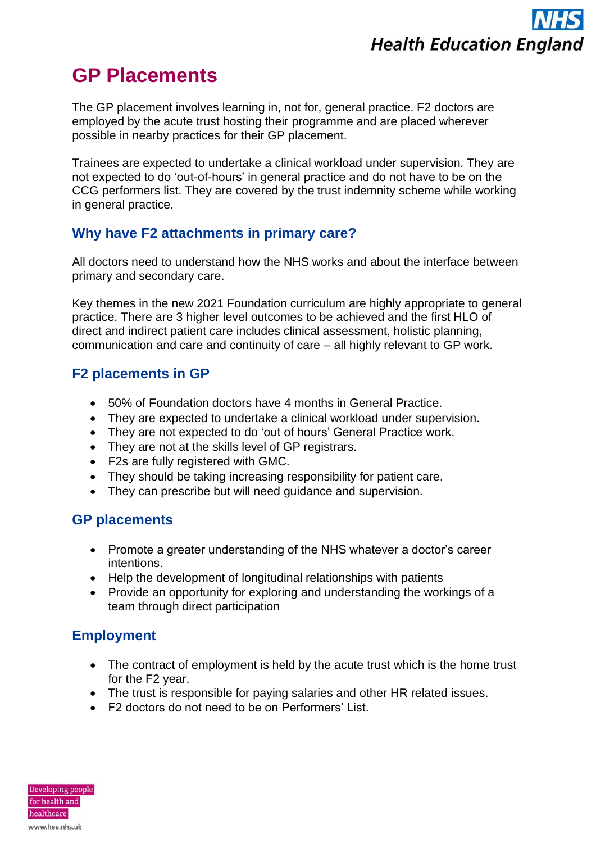# **GP Placements**

The GP placement involves learning in, not for, general practice. F2 doctors are employed by the acute trust hosting their programme and are placed wherever possible in nearby practices for their GP placement.

Trainees are expected to undertake a clinical workload under supervision. They are not expected to do 'out-of-hours' in general practice and do not have to be on the CCG performers list. They are covered by the trust indemnity scheme while working in general practice.

## **Why have F2 attachments in primary care?**

All doctors need to understand how the NHS works and about the interface between primary and secondary care.

Key themes in the new 2021 Foundation curriculum are highly appropriate to general practice. There are 3 higher level outcomes to be achieved and the first HLO of direct and indirect patient care includes clinical assessment, holistic planning, communication and care and continuity of care – all highly relevant to GP work.

## **F2 placements in GP**

- 50% of Foundation doctors have 4 months in General Practice.
- They are expected to undertake a clinical workload under supervision.
- They are not expected to do 'out of hours' General Practice work.
- They are not at the skills level of GP registrars.
- F2s are fully registered with GMC.
- They should be taking increasing responsibility for patient care.
- They can prescribe but will need guidance and supervision.

## **GP placements**

- Promote a greater understanding of the NHS whatever a doctor's career intentions.
- Help the development of longitudinal relationships with patients
- Provide an opportunity for exploring and understanding the workings of a team through direct participation

## **Employment**

- The contract of employment is held by the acute trust which is the home trust for the F2 year.
- The trust is responsible for paying salaries and other HR related issues.
- F2 doctors do not need to be on Performers' List.

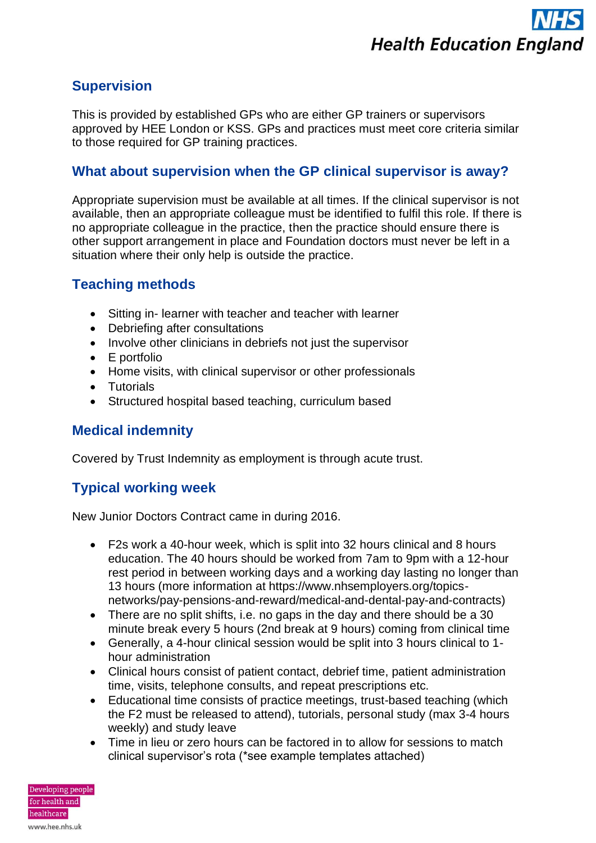## **Supervision**

This is provided by established GPs who are either GP trainers or supervisors approved by HEE London or KSS. GPs and practices must meet core criteria similar to those required for GP training practices.

## **What about supervision when the GP clinical supervisor is away?**

Appropriate supervision must be available at all times. If the clinical supervisor is not available, then an appropriate colleague must be identified to fulfil this role. If there is no appropriate colleague in the practice, then the practice should ensure there is other support arrangement in place and Foundation doctors must never be left in a situation where their only help is outside the practice.

## **Teaching methods**

- Sitting in- learner with teacher and teacher with learner
- Debriefing after consultations
- Involve other clinicians in debriefs not just the supervisor
- E portfolio
- Home visits, with clinical supervisor or other professionals
- Tutorials
- Structured hospital based teaching, curriculum based

## **Medical indemnity**

Covered by Trust Indemnity as employment is through acute trust.

## **Typical working week**

New Junior Doctors Contract came in during 2016.

- F2s work a 40-hour week, which is split into 32 hours clinical and 8 hours education. The 40 hours should be worked from 7am to 9pm with a 12-hour rest period in between working days and a working day lasting no longer than 13 hours (more information at https://www.nhsemployers.org/topicsnetworks/pay-pensions-and-reward/medical-and-dental-pay-and-contracts)
- There are no split shifts, i.e. no gaps in the day and there should be a 30 minute break every 5 hours (2nd break at 9 hours) coming from clinical time
- Generally, a 4-hour clinical session would be split into 3 hours clinical to 1 hour administration
- Clinical hours consist of patient contact, debrief time, patient administration time, visits, telephone consults, and repeat prescriptions etc.
- Educational time consists of practice meetings, trust-based teaching (which the F2 must be released to attend), tutorials, personal study (max 3-4 hours weekly) and study leave
- Time in lieu or zero hours can be factored in to allow for sessions to match clinical supervisor's rota (\*see example templates attached)

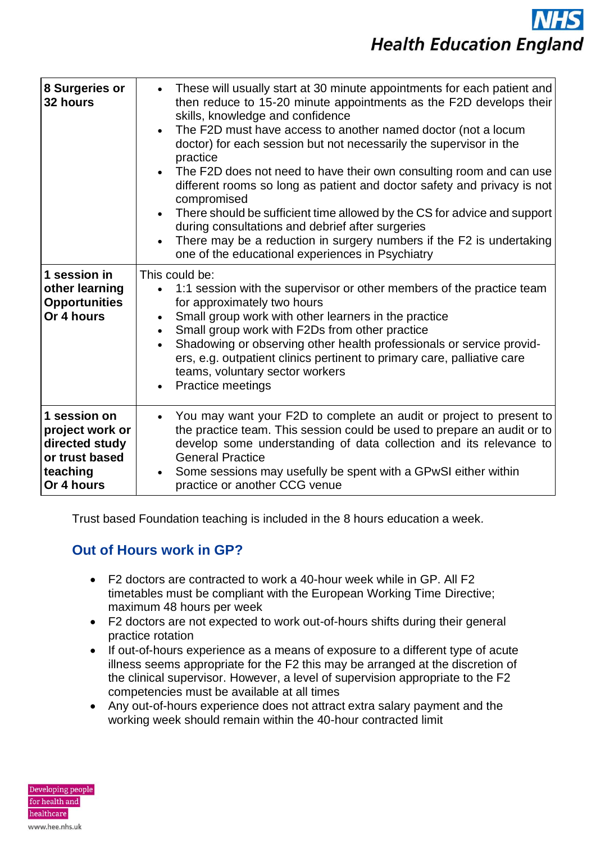| 8 Surgeries or<br>32 hours                                                                    | These will usually start at 30 minute appointments for each patient and<br>then reduce to 15-20 minute appointments as the F2D develops their<br>skills, knowledge and confidence<br>The F2D must have access to another named doctor (not a locum<br>doctor) for each session but not necessarily the supervisor in the<br>practice<br>The F2D does not need to have their own consulting room and can use<br>$\bullet$<br>different rooms so long as patient and doctor safety and privacy is not<br>compromised<br>There should be sufficient time allowed by the CS for advice and support<br>during consultations and debrief after surgeries<br>There may be a reduction in surgery numbers if the F2 is undertaking<br>one of the educational experiences in Psychiatry |
|-----------------------------------------------------------------------------------------------|--------------------------------------------------------------------------------------------------------------------------------------------------------------------------------------------------------------------------------------------------------------------------------------------------------------------------------------------------------------------------------------------------------------------------------------------------------------------------------------------------------------------------------------------------------------------------------------------------------------------------------------------------------------------------------------------------------------------------------------------------------------------------------|
| 1 session in<br>other learning<br><b>Opportunities</b><br>Or 4 hours                          | This could be:<br>1:1 session with the supervisor or other members of the practice team<br>for approximately two hours<br>Small group work with other learners in the practice<br>Small group work with F2Ds from other practice<br>Shadowing or observing other health professionals or service provid-<br>ers, e.g. outpatient clinics pertinent to primary care, palliative care<br>teams, voluntary sector workers<br><b>Practice meetings</b>                                                                                                                                                                                                                                                                                                                             |
| 1 session on<br>project work or<br>directed study<br>or trust based<br>teaching<br>Or 4 hours | You may want your F2D to complete an audit or project to present to<br>the practice team. This session could be used to prepare an audit or to<br>develop some understanding of data collection and its relevance to<br><b>General Practice</b><br>Some sessions may usefully be spent with a GPwSI either within<br>practice or another CCG venue                                                                                                                                                                                                                                                                                                                                                                                                                             |

Trust based Foundation teaching is included in the 8 hours education a week*.*

## **Out of Hours work in GP?**

- F2 doctors are contracted to work a 40-hour week while in GP. All F2 timetables must be compliant with the European Working Time Directive; maximum 48 hours per week
- F2 doctors are not expected to work out-of-hours shifts during their general practice rotation
- If out-of-hours experience as a means of exposure to a different type of acute illness seems appropriate for the F2 this may be arranged at the discretion of the clinical supervisor. However, a level of supervision appropriate to the F2 competencies must be available at all times
- Any out-of-hours experience does not attract extra salary payment and the working week should remain within the 40-hour contracted limit

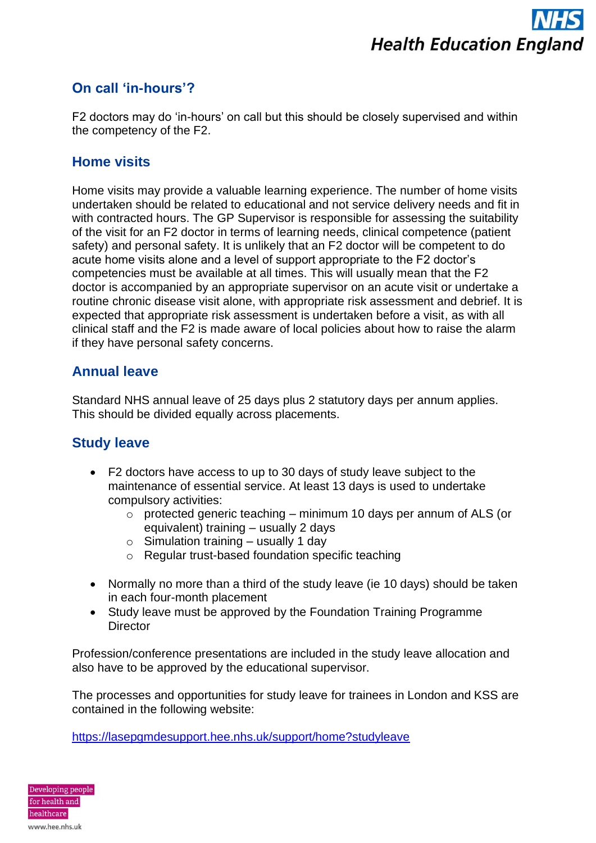## **On call 'in-hours'?**

F2 doctors may do 'in-hours' on call but this should be closely supervised and within the competency of the F2.

#### **Home visits**

Home visits may provide a valuable learning experience. The number of home visits undertaken should be related to educational and not service delivery needs and fit in with contracted hours. The GP Supervisor is responsible for assessing the suitability of the visit for an F2 doctor in terms of learning needs, clinical competence (patient safety) and personal safety. It is unlikely that an F2 doctor will be competent to do acute home visits alone and a level of support appropriate to the F2 doctor's competencies must be available at all times. This will usually mean that the F2 doctor is accompanied by an appropriate supervisor on an acute visit or undertake a routine chronic disease visit alone, with appropriate risk assessment and debrief. It is expected that appropriate risk assessment is undertaken before a visit, as with all clinical staff and the F2 is made aware of local policies about how to raise the alarm if they have personal safety concerns.

#### **Annual leave**

Standard NHS annual leave of 25 days plus 2 statutory days per annum applies. This should be divided equally across placements.

## **Study leave**

- F2 doctors have access to up to 30 days of study leave subject to the maintenance of essential service. At least 13 days is used to undertake compulsory activities:
	- $\circ$  protected generic teaching minimum 10 days per annum of ALS (or equivalent) training – usually 2 days
	- $\circ$  Simulation training usually 1 day
	- o Regular trust-based foundation specific teaching
- Normally no more than a third of the study leave (ie 10 days) should be taken in each four-month placement
- Study leave must be approved by the Foundation Training Programme **Director**

Profession/conference presentations are included in the study leave allocation and also have to be approved by the educational supervisor.

The processes and opportunities for study leave for trainees in London and KSS are contained in the following website:

<https://lasepgmdesupport.hee.nhs.uk/support/home?studyleave>

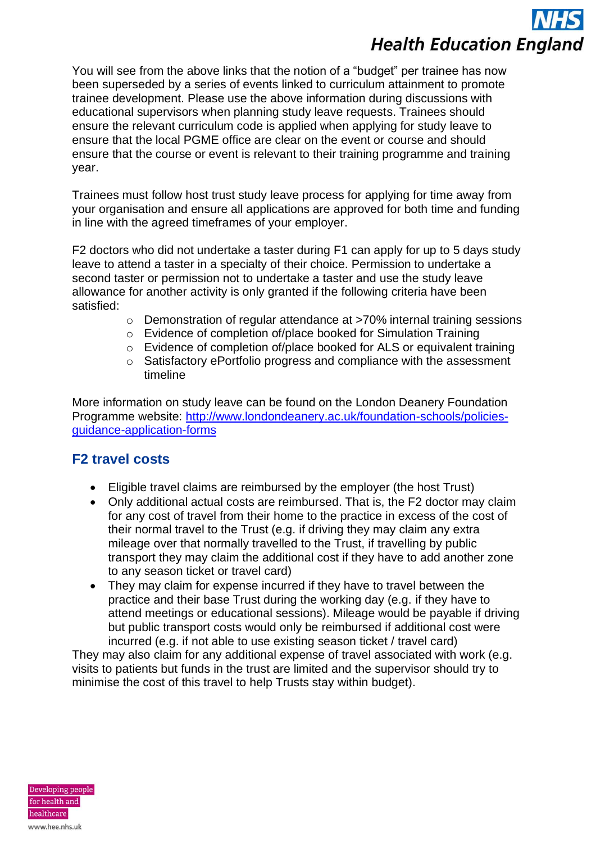You will see from the above links that the notion of a "budget" per trainee has now been superseded by a series of events linked to curriculum attainment to promote trainee development. Please use the above information during discussions with educational supervisors when planning study leave requests. Trainees should ensure the relevant curriculum code is applied when applying for study leave to ensure that the local PGME office are clear on the event or course and should ensure that the course or event is relevant to their training programme and training year.

Trainees must follow host trust study leave process for applying for time away from your organisation and ensure all applications are approved for both time and funding in line with the agreed timeframes of your employer.

F2 doctors who did not undertake a taster during F1 can apply for up to 5 days study leave to attend a taster in a specialty of their choice. Permission to undertake a second taster or permission not to undertake a taster and use the study leave allowance for another activity is only granted if the following criteria have been satisfied:

- o Demonstration of regular attendance at >70% internal training sessions
- o Evidence of completion of/place booked for Simulation Training
- o Evidence of completion of/place booked for ALS or equivalent training
- o Satisfactory ePortfolio progress and compliance with the assessment timeline

More information on study leave can be found on the London Deanery Foundation Programme website: [http://www.londondeanery.ac.uk/foundation-schools/policies](http://www.londondeanery.ac.uk/foundation-schools/policies-guidance-application-forms)[guidance-application-forms](http://www.londondeanery.ac.uk/foundation-schools/policies-guidance-application-forms)

## **F2 travel costs**

- Eligible travel claims are reimbursed by the employer (the host Trust)
- Only additional actual costs are reimbursed. That is, the F2 doctor may claim for any cost of travel from their home to the practice in excess of the cost of their normal travel to the Trust (e.g. if driving they may claim any extra mileage over that normally travelled to the Trust, if travelling by public transport they may claim the additional cost if they have to add another zone to any season ticket or travel card)
- They may claim for expense incurred if they have to travel between the practice and their base Trust during the working day (e.g. if they have to attend meetings or educational sessions). Mileage would be payable if driving but public transport costs would only be reimbursed if additional cost were incurred (e.g. if not able to use existing season ticket / travel card)

They may also claim for any additional expense of travel associated with work (e.g. visits to patients but funds in the trust are limited and the supervisor should try to minimise the cost of this travel to help Trusts stay within budget).

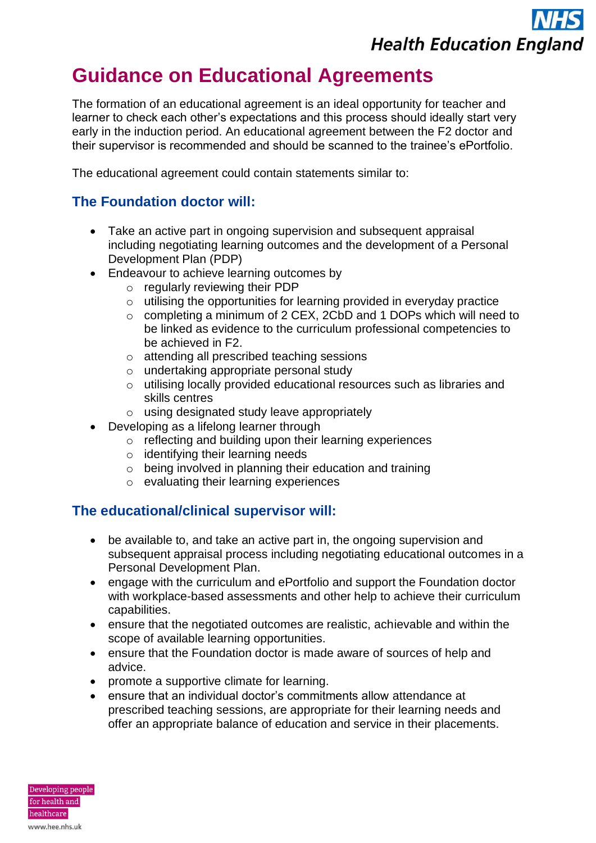## **Guidance on Educational Agreements**

The formation of an educational agreement is an ideal opportunity for teacher and learner to check each other's expectations and this process should ideally start very early in the induction period. An educational agreement between the F2 doctor and their supervisor is recommended and should be scanned to the trainee's ePortfolio.

The educational agreement could contain statements similar to:

## **The Foundation doctor will:**

- Take an active part in ongoing supervision and subsequent appraisal including negotiating learning outcomes and the development of a Personal Development Plan (PDP)
- Endeavour to achieve learning outcomes by
	- o regularly reviewing their PDP
	- $\circ$  utilising the opportunities for learning provided in everyday practice
	- o completing a minimum of 2 CEX, 2CbD and 1 DOPs which will need to be linked as evidence to the curriculum professional competencies to be achieved in F2.
	- o attending all prescribed teaching sessions
	- o undertaking appropriate personal study
	- o utilising locally provided educational resources such as libraries and skills centres
	- o using designated study leave appropriately
- Developing as a lifelong learner through
	- o reflecting and building upon their learning experiences
	- o identifying their learning needs
	- o being involved in planning their education and training
	- o evaluating their learning experiences

#### **The educational/clinical supervisor will:**

- be available to, and take an active part in, the ongoing supervision and subsequent appraisal process including negotiating educational outcomes in a Personal Development Plan.
- engage with the curriculum and ePortfolio and support the Foundation doctor with workplace-based assessments and other help to achieve their curriculum capabilities.
- ensure that the negotiated outcomes are realistic, achievable and within the scope of available learning opportunities.
- ensure that the Foundation doctor is made aware of sources of help and advice.
- promote a supportive climate for learning.
- ensure that an individual doctor's commitments allow attendance at prescribed teaching sessions, are appropriate for their learning needs and offer an appropriate balance of education and service in their placements.

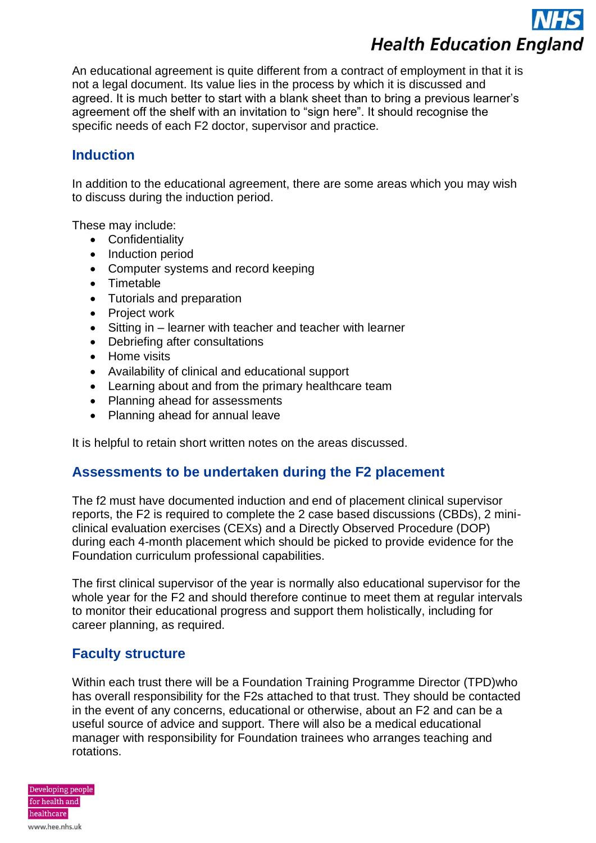An educational agreement is quite different from a contract of employment in that it is not a legal document. Its value lies in the process by which it is discussed and agreed. It is much better to start with a blank sheet than to bring a previous learner's agreement off the shelf with an invitation to "sign here". It should recognise the specific needs of each F2 doctor, supervisor and practice.

### **Induction**

In addition to the educational agreement, there are some areas which you may wish to discuss during the induction period.

These may include:

- Confidentiality
- Induction period
- Computer systems and record keeping
- Timetable
- Tutorials and preparation
- Project work
- Sitting in learner with teacher and teacher with learner
- Debriefing after consultations
- Home visits
- Availability of clinical and educational support
- Learning about and from the primary healthcare team
- Planning ahead for assessments
- Planning ahead for annual leave

It is helpful to retain short written notes on the areas discussed.

## **Assessments to be undertaken during the F2 placement**

The f2 must have documented induction and end of placement clinical supervisor reports, the F2 is required to complete the 2 case based discussions (CBDs), 2 miniclinical evaluation exercises (CEXs) and a Directly Observed Procedure (DOP) during each 4-month placement which should be picked to provide evidence for the Foundation curriculum professional capabilities.

The first clinical supervisor of the year is normally also educational supervisor for the whole year for the F2 and should therefore continue to meet them at regular intervals to monitor their educational progress and support them holistically, including for career planning, as required.

## **Faculty structure**

Within each trust there will be a Foundation Training Programme Director (TPD)who has overall responsibility for the F2s attached to that trust. They should be contacted in the event of any concerns, educational or otherwise, about an F2 and can be a useful source of advice and support. There will also be a medical educational manager with responsibility for Foundation trainees who arranges teaching and rotations.

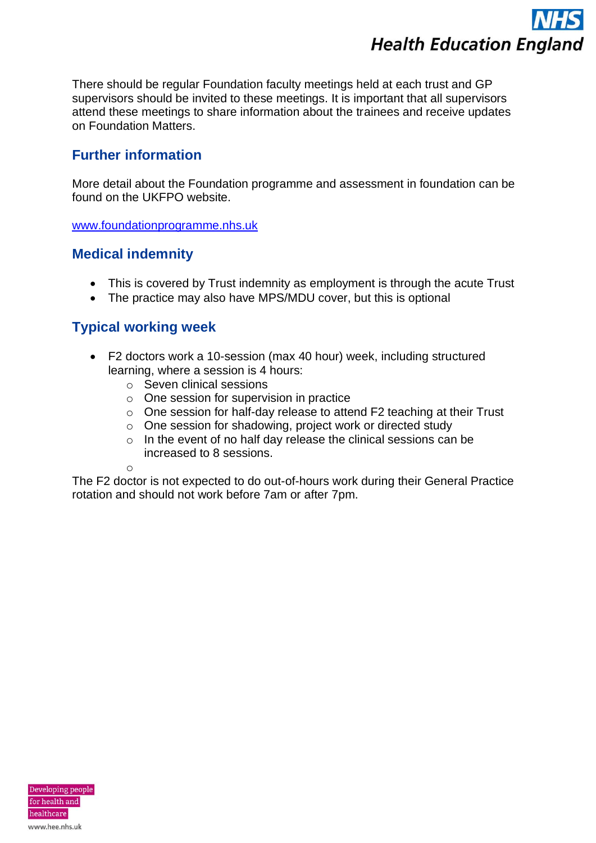

There should be regular Foundation faculty meetings held at each trust and GP supervisors should be invited to these meetings. It is important that all supervisors attend these meetings to share information about the trainees and receive updates on Foundation Matters.

#### **Further information**

More detail about the Foundation programme and assessment in foundation can be found on the UKFPO website.

[www.foundationprogramme.nhs.uk](http://www.foundationprogramme.nhs.uk/)

#### **Medical indemnity**

- This is covered by Trust indemnity as employment is through the acute Trust
- The practice may also have MPS/MDU cover, but this is optional

## **Typical working week**

- F2 doctors work a 10-session (max 40 hour) week, including structured learning, where a session is 4 hours:
	- o Seven clinical sessions
	- o One session for supervision in practice
	- o One session for half-day release to attend F2 teaching at their Trust
	- o One session for shadowing, project work or directed study
	- o In the event of no half day release the clinical sessions can be increased to 8 sessions.

o

The F2 doctor is not expected to do out-of-hours work during their General Practice rotation and should not work before 7am or after 7pm.

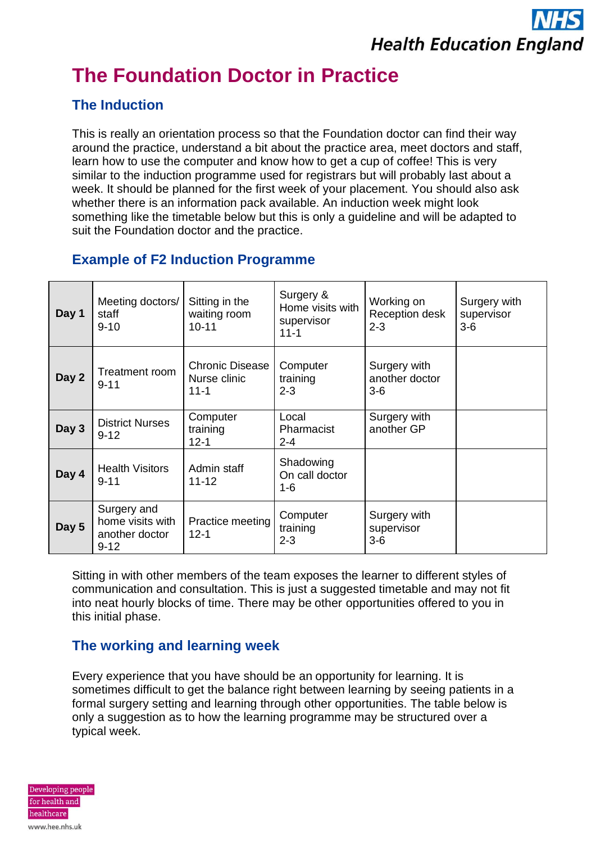# **The Foundation Doctor in Practice**

## **The Induction**

This is really an orientation process so that the Foundation doctor can find their way around the practice, understand a bit about the practice area, meet doctors and staff, learn how to use the computer and know how to get a cup of coffee! This is very similar to the induction programme used for registrars but will probably last about a week. It should be planned for the first week of your placement. You should also ask whether there is an information pack available. An induction week might look something like the timetable below but this is only a guideline and will be adapted to suit the Foundation doctor and the practice.

## **Example of F2 Induction Programme**

| Day 1 | Meeting doctors/<br>staff<br>$9 - 10$                         | Sitting in the<br>waiting room<br>$10 - 11$        | Surgery &<br>Home visits with<br>supervisor<br>$11 - 1$ | Working on<br>Reception desk<br>$2 - 3$ | Surgery with<br>supervisor<br>$3-6$ |
|-------|---------------------------------------------------------------|----------------------------------------------------|---------------------------------------------------------|-----------------------------------------|-------------------------------------|
| Day 2 | Treatment room<br>$9 - 11$                                    | <b>Chronic Disease</b><br>Nurse clinic<br>$11 - 1$ | Computer<br>training<br>$2 - 3$                         | Surgery with<br>another doctor<br>$3-6$ |                                     |
| Day 3 | <b>District Nurses</b><br>$9 - 12$                            | Computer<br>training<br>$12 - 1$                   | Local<br>Pharmacist<br>$2 - 4$                          | Surgery with<br>another GP              |                                     |
| Day 4 | <b>Health Visitors</b><br>$9 - 11$                            | Admin staff<br>$11 - 12$                           | Shadowing<br>On call doctor<br>$1 - 6$                  |                                         |                                     |
| Day 5 | Surgery and<br>home visits with<br>another doctor<br>$9 - 12$ | Practice meeting<br>$12 - 1$                       | Computer<br>training<br>$2 - 3$                         | Surgery with<br>supervisor<br>$3-6$     |                                     |

Sitting in with other members of the team exposes the learner to different styles of communication and consultation. This is just a suggested timetable and may not fit into neat hourly blocks of time. There may be other opportunities offered to you in this initial phase.

## **The working and learning week**

Every experience that you have should be an opportunity for learning. It is sometimes difficult to get the balance right between learning by seeing patients in a formal surgery setting and learning through other opportunities. The table below is only a suggestion as to how the learning programme may be structured over a typical week.

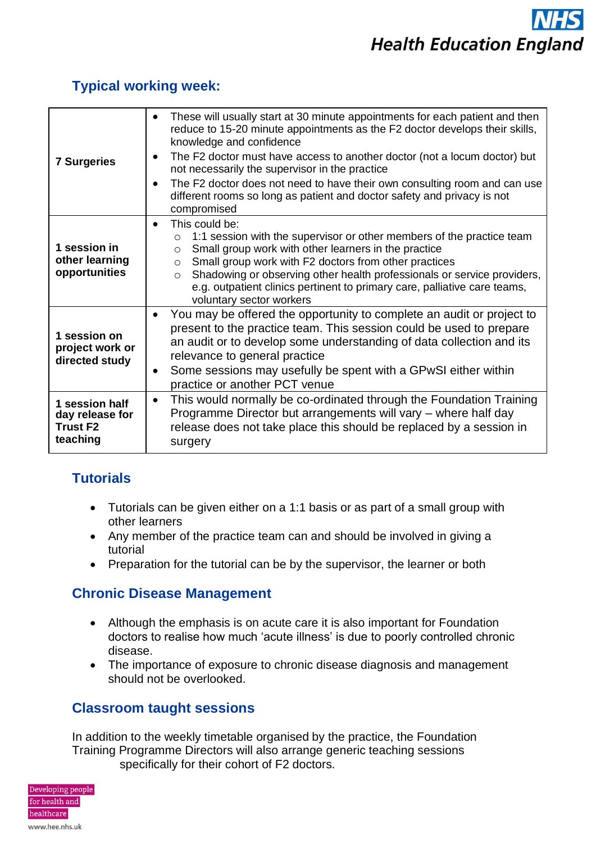| <b>7 Surgeries</b>                                               | These will usually start at 30 minute appointments for each patient and then<br>reduce to 15-20 minute appointments as the F2 doctor develops their skills,<br>knowledge and confidence<br>The F2 doctor must have access to another doctor (not a locum doctor) but<br>$\bullet$<br>not necessarily the supervisor in the practice<br>The F2 doctor does not need to have their own consulting room and can use<br>different rooms so long as patient and doctor safety and privacy is not<br>compromised |  |  |
|------------------------------------------------------------------|------------------------------------------------------------------------------------------------------------------------------------------------------------------------------------------------------------------------------------------------------------------------------------------------------------------------------------------------------------------------------------------------------------------------------------------------------------------------------------------------------------|--|--|
| 1 session in<br>other learning<br>opportunities                  | This could be:<br>$\bullet$<br>1:1 session with the supervisor or other members of the practice team<br>$\Omega$<br>Small group work with other learners in the practice<br>$\circ$<br>Small group work with F2 doctors from other practices<br>$\circ$<br>Shadowing or observing other health professionals or service providers,<br>$\circ$<br>e.g. outpatient clinics pertinent to primary care, palliative care teams,<br>voluntary sector workers                                                     |  |  |
| 1 session on<br>project work or<br>directed study                | You may be offered the opportunity to complete an audit or project to<br>present to the practice team. This session could be used to prepare<br>an audit or to develop some understanding of data collection and its<br>relevance to general practice<br>Some sessions may usefully be spent with a GPwSI either within<br>٠<br>practice or another PCT venue                                                                                                                                              |  |  |
| 1 session half<br>day release for<br><b>Trust F2</b><br>teaching | This would normally be co-ordinated through the Foundation Training<br>$\bullet$<br>Programme Director but arrangements will vary – where half day<br>release does not take place this should be replaced by a session in<br>surgery                                                                                                                                                                                                                                                                       |  |  |

### **Typical working week:**

## **Tutorials**

- Tutorials can be given either on a 1:1 basis or as part of a small group with other learners
- Any member of the practice team can and should be involved in giving a tutorial
- Preparation for the tutorial can be by the supervisor, the learner or both

## **Chronic Disease Management**

- Although the emphasis is on acute care it is also important for Foundation doctors to realise how much 'acute illness' is due to poorly controlled chronic disease.
- The importance of exposure to chronic disease diagnosis and management should not be overlooked.

## **Classroom taught sessions**

In addition to the weekly timetable organised by the practice, the Foundation Training Programme Directors will also arrange generic teaching sessions specifically for their cohort of F2 doctors.

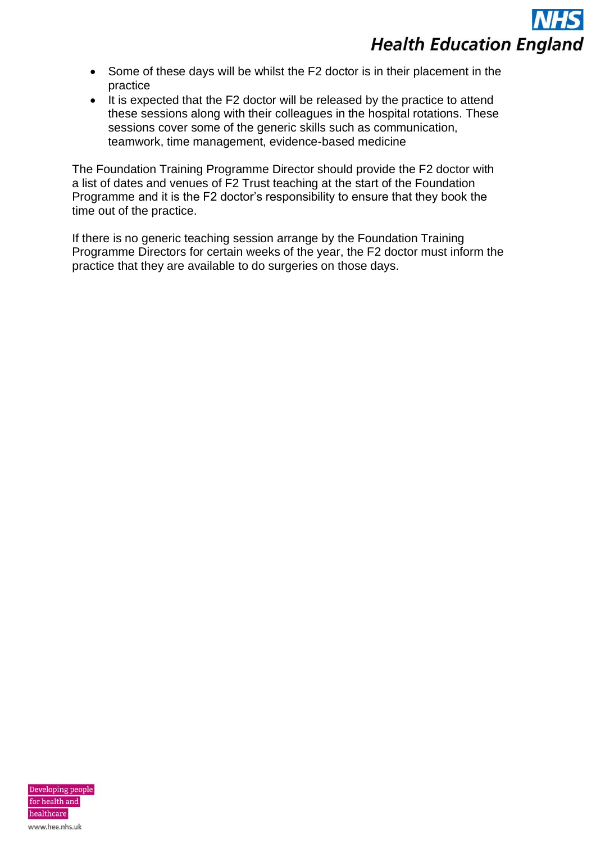- Some of these days will be whilst the F2 doctor is in their placement in the practice
- It is expected that the F2 doctor will be released by the practice to attend these sessions along with their colleagues in the hospital rotations. These sessions cover some of the generic skills such as communication, teamwork, time management, evidence-based medicine

The Foundation Training Programme Director should provide the F2 doctor with a list of dates and venues of F2 Trust teaching at the start of the Foundation Programme and it is the F2 doctor's responsibility to ensure that they book the time out of the practice.

If there is no generic teaching session arrange by the Foundation Training Programme Directors for certain weeks of the year, the F2 doctor must inform the practice that they are available to do surgeries on those days.